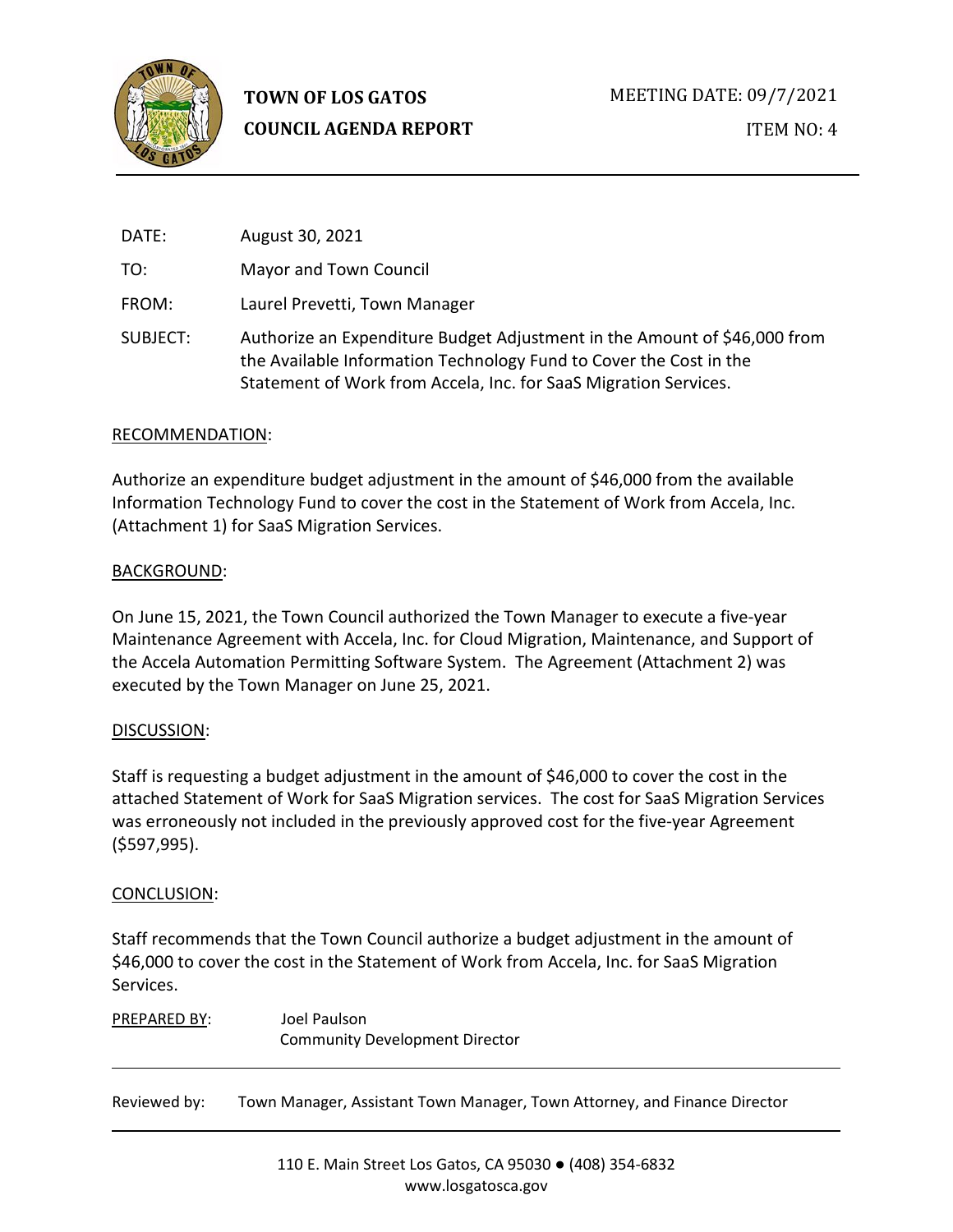

| DATE:    | August 30, 2021                                                                                                                                                                                                     |
|----------|---------------------------------------------------------------------------------------------------------------------------------------------------------------------------------------------------------------------|
| TO:      | Mayor and Town Council                                                                                                                                                                                              |
| FROM:    | Laurel Prevetti, Town Manager                                                                                                                                                                                       |
| SUBJECT: | Authorize an Expenditure Budget Adjustment in the Amount of \$46,000 from<br>the Available Information Technology Fund to Cover the Cost in the<br>Statement of Work from Accela, Inc. for SaaS Migration Services. |

## RECOMMENDATION:

Authorize an expenditure budget adjustment in the amount of \$46,000 from the available Information Technology Fund to cover the cost in the Statement of Work from Accela, Inc. (Attachment 1) for SaaS Migration Services.

## BACKGROUND:

On June 15, 2021, the Town Council authorized the Town Manager to execute a five-year Maintenance Agreement with Accela, Inc. for Cloud Migration, Maintenance, and Support of the Accela Automation Permitting Software System. The Agreement (Attachment 2) was executed by the Town Manager on June 25, 2021.

# DISCUSSION:

Staff is requesting a budget adjustment in the amount of \$46,000 to cover the cost in the attached Statement of Work for SaaS Migration services. The cost for SaaS Migration Services was erroneously not included in the previously approved cost for the five-year Agreement (\$597,995).

## CONCLUSION:

Staff recommends that the Town Council authorize a budget adjustment in the amount of \$46,000 to cover the cost in the Statement of Work from Accela, Inc. for SaaS Migration Services.

PREPARED BY: Joel Paulson Community Development Director

Reviewed by: Town Manager, Assistant Town Manager, Town Attorney, and Finance Director